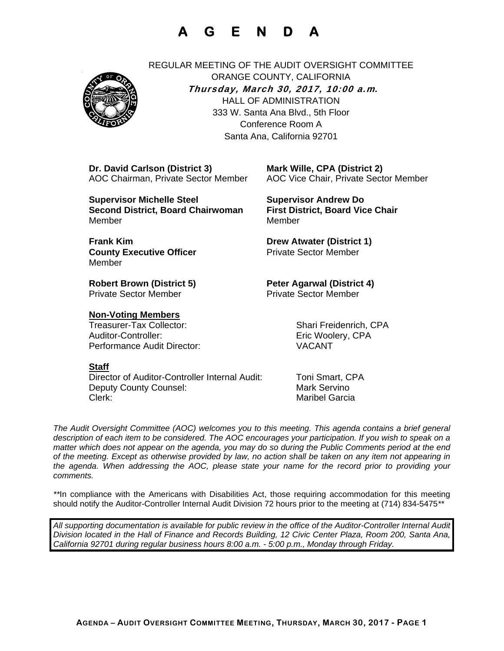# **A G E N D A**



REGULAR MEETING OF THE AUDIT OVERSIGHT COMMITTEE ORANGE COUNTY, CALIFORNIA **Thursday, March 30, 2017, 10:00 a.m***.* HALL OF ADMINISTRATION 333 W. Santa Ana Blvd., 5th Floor Conference Room A Santa Ana, California 92701

 **Dr. David Carlson (District 3) Mark Wille, CPA (District 2)**

 **Supervisor Michelle Steel Supervisor Andrew Do Second District, Board Chairwoman First District, Board Vice Chair Member** Member

**Frank Kim Community Community Community Drew Atwater (District 1) County Executive Officer**  The Sector Member Member

**Private Sector Member Private Sector Member** 

#### **Non-Voting Members**

 Treasurer-Tax Collector: Shari Freidenrich, CPA Auditor-Controller: Enc Woolery, CPA Performance Audit Director: VACANT

### **Staff**

 Director of Auditor-Controller Internal Audit: Toni Smart, CPA Deputy County Counsel: Mark Servino Clerk: Maribel Garcia

AOC Chairman, Private Sector Member AOC Vice Chair, Private Sector Member

**Robert Brown (District 5) Peter Agarwal (District 4)** 

*The Audit Oversight Committee (AOC) welcomes you to this meeting. This agenda contains a brief general*  description of each item to be considered. The AOC encourages your participation. If you wish to speak on a *matter which does not appear on the agenda, you may do so during the Public Comments period at the end of the meeting. Except as otherwise provided by law, no action shall be taken on any item not appearing in the agenda. When addressing the AOC, please state your name for the record prior to providing your comments.* 

*\*\**In compliance with the Americans with Disabilities Act, those requiring accommodation for this meeting should notify the Auditor-Controller Internal Audit Division 72 hours prior to the meeting at (714) 834-5475*\*\** 

*All supporting documentation is available for public review in the office of the Auditor-Controller Internal Audit Division located in the Hall of Finance and Records Building, 12 Civic Center Plaza, Room 200, Santa Ana, California 92701 during regular business hours 8:00 a.m. - 5:00 p.m., Monday through Friday.*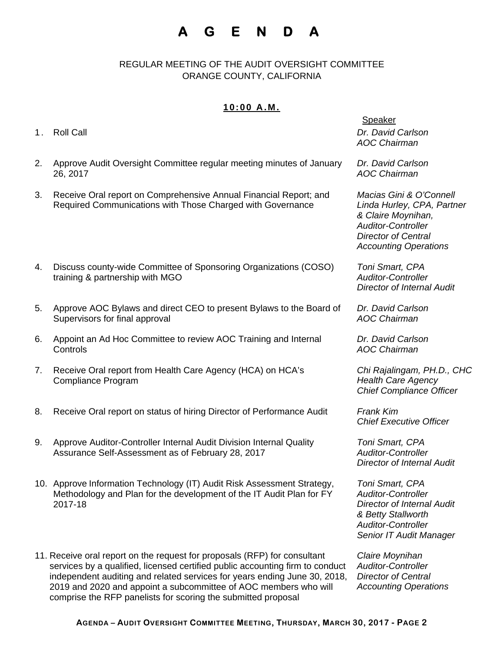# **A G E N D A**

REGULAR MEETING OF THE AUDIT OVERSIGHT COMMITTEE ORANGE COUNTY, CALIFORNIA

### **10:00 A.M.**

- 
- 2. Approve Audit Oversight Committee regular meeting minutes of January 26, 2017
- 3. Receive Oral report on Comprehensive Annual Financial Report; and Required Communications with Those Charged with Governance
- 4. Discuss county-wide Committee of Sponsoring Organizations (COSO) training & partnership with MGO
- 5. Approve AOC Bylaws and direct CEO to present Bylaws to the Board of Supervisors for final approval
- 6. Appoint an Ad Hoc Committee to review AOC Training and Internal **Controls**
- 7. Receive Oral report from Health Care Agency (HCA) on HCA's Compliance Program
- 8. Receive Oral report on status of hiring Director of Performance Audit *Frank Kim*
- 9. Approve Auditor-Controller Internal Audit Division Internal Quality Assurance Self-Assessment as of February 28, 2017
- 10. Approve Information Technology (IT) Audit Risk Assessment Strategy, Methodology and Plan for the development of the IT Audit Plan for FY 2017-18
- 11. Receive oral report on the request for proposals (RFP) for consultant services by a qualified, licensed certified public accounting firm to conduct independent auditing and related services for years ending June 30, 2018, 2019 and 2020 and appoint a subcommittee of AOC members who will comprise the RFP panelists for scoring the submitted proposal

#### **Speaker**

1. Roll Call *Dr. David Carlson AOC Chairman* 

> *Dr. David Carlson AOC Chairman*

*Macias Gini & O'Connell Linda Hurley, CPA, Partner & Claire Moynihan, Auditor-Controller Director of Central Accounting Operations* 

*Toni Smart, CPA Auditor-Controller Director of Internal Audit* 

*Dr. David Carlson AOC Chairman* 

*Dr. David Carlson AOC Chairman* 

*Chi Rajalingam, PH.D., CHC Health Care Agency Chief Compliance Officer* 

*Chief Executive Officer* 

*Toni Smart, CPA Auditor-Controller Director of Internal Audit* 

*Toni Smart, CPA Auditor-Controller Director of Internal Audit & Betty Stallworth Auditor-Controller Senior IT Audit Manager* 

*Claire Moynihan Auditor-Controller Director of Central Accounting Operations*